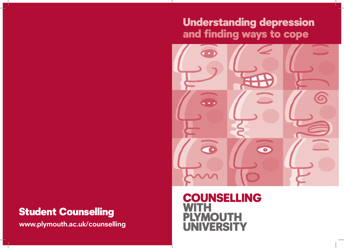# Understanding depression and finding ways to cope



## Student Counselling

**www.plymouth.ac.uk/counselling**

### COUNSELLING WITH **IOUTH** NIVERSITY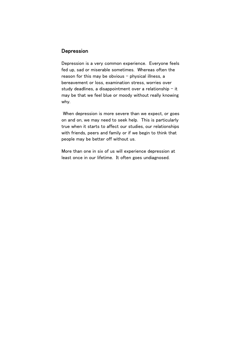#### **Depression**

Depression is a very common experience. Everyone feels fed up, sad or miserable sometimes. Whereas often the reason for this may be obvious  $-$  physical illness, a bereavement or loss, examination stress, worries over study deadlines, a disappointment over a relationship  $-$  it may be that we feel blue or moody without really knowing why.

 When depression is more severe than we expect, or goes on and on, we may need to seek help. This is particularly true when it starts to affect our studies, our relationships with friends, peers and family or if we begin to think that people may be better off without us.

More than one in six of us will experience depression at least once in our lifetime. It often goes undiagnosed.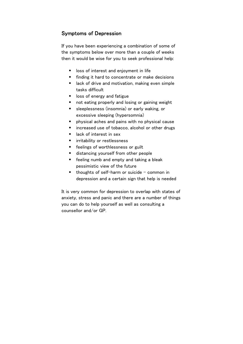#### Symptoms of Depression

If you have been experiencing a combination of some of the symptoms below over more than a couple of weeks then it would be wise for you to seek professional help:

- **I** loss of interest and enjoyment in life
- **finding it hard to concentrate or make decisions**
- lack of drive and motivation, making even simple tasks difficult
- **I** loss of energy and fatigue
- not eating properly and losing or gaining weight
- sleeplessness (insomnia) or early waking, or excessive sleeping (hypersomnia)
- $\blacksquare$  physical aches and pains with no physical cause
- increased use of tobacco, alcohol or other drugs
- lack of interest in sex
- **F** irritability or restlessness
- **Feelings of worthlessness or guilt**
- **distancing yourself from other people**
- **F** feeling numb and empty and taking a bleak pessimistic view of the future
- $\blacksquare$  thoughts of self-harm or suicide common in depression and a certain sign that help is needed

It is very common for depression to overlap with states of anxiety, stress and panic and there are a number of things you can do to help yourself as well as consulting a counsellor and/or GP.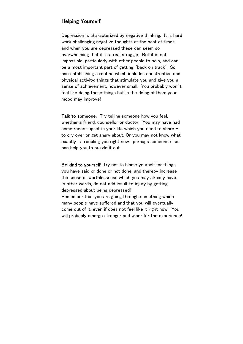#### Helping Yourself

Depression is characterized by negative thinking. It is hard work challenging negative thoughts at the best of times and when you are depressed these can seem so overwhelming that it is a real struggle. But it is not impossible, particularly with other people to help, and can be a most important part of getting 'back on track'. So can establishing a routine which includes constructive and physical activity: things that stimulate you and give you a sense of achievement, however small. You probably won't feel like doing these things but in the doing of them your mood may improve!

Talk to someone. Try telling someone how you feel, whether a friend, counsellor or doctor. You may have had some recent upset in your life which you need to share to cry over or get angry about. Or you may not know what exactly is troubling you right now: perhaps someone else can help you to puzzle it out.

Be kind to yourself. Try not to blame yourself for things you have said or done or not done, and thereby increase the sense of worthlessness which you may already have. In other words, do not add insult to injury by getting depressed about being depressed!

Remember that you are going through something which many people have suffered and that you will eventually come out of it, even if does not feel like it right now. You will probably emerge stronger and wiser for the experience!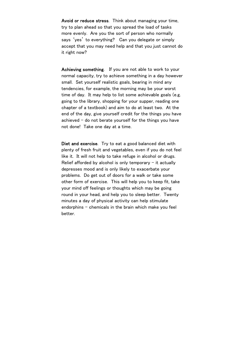Avoid or reduce stress. Think about managing your time, try to plan ahead so that you spread the load of tasks more evenly. Are you the sort of person who normally says 'yes' to everything? Can you delegate or simply accept that you may need help and that you just cannot do it right now?

Achieving something. If you are not able to work to your normal capacity, try to achieve something in a day however small. Set yourself realistic goals, bearing in mind any tendencies, for example, the morning may be your worst time of day. It may help to list some achievable goals (e.g. going to the library, shopping for your supper, reading one chapter of a textbook) and aim to do at least two. At the end of the day, give yourself credit for the things you have achieved  $-$  do not berate yourself for the things you have not done! Take one day at a time.

Diet and exercise. Try to eat a good balanced diet with plenty of fresh fruit and vegetables, even if you do not feel like it. It will not help to take refuge in alcohol or drugs. Relief afforded by alcohol is only temporary  $-$  it actually depresses mood and is only likely to exacerbate your problems. Do get out of doors for a walk or take some other form of exercise. This will help you to keep fit, take your mind off feelings or thoughts which may be going round in your head, and help you to sleep better. Twenty minutes a day of physical activity can help stimulate endorphins – chemicals in the brain which make you feel better.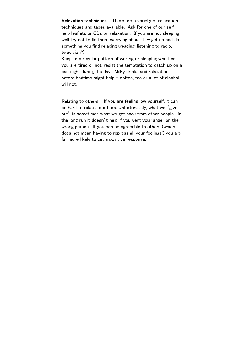Relaxation techniques. There are a variety of relaxation techniques and tapes available. Ask for one of our selfhelp leaflets or CDs on relaxation. If you are not sleeping well try not to lie there worrying about it  $-$  get up and do something you find relaxing (reading, listening to radio, television?)

Keep to a regular pattern of waking or sleeping whether you are tired or not, resist the temptation to catch up on a bad night during the day. Milky drinks and relaxation before bedtime might help  $-$  coffee, tea or a lot of alcohol will not.

Relating to others. If you are feeling low yourself, it can be hard to relate to others. Unfortunately, what we 'give out' is sometimes what we get back from other people. In the long run it doesn't help if you vent your anger on the wrong person. If you can be agreeable to others (which does not mean having to repress all your feelings!) you are far more likely to get a positive response.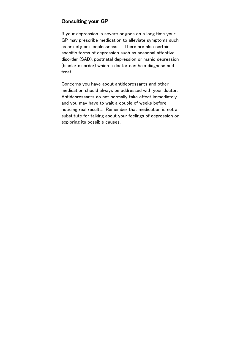#### Consulting your GP

If your depression is severe or goes on a long time your GP may prescribe medication to alleviate symptoms such as anxiety or sleeplessness. There are also certain specific forms of depression such as seasonal affective disorder (SAD), postnatal depression or manic depression (bipolar disorder) which a doctor can help diagnose and treat.

Concerns you have about antidepressants and other medication should always be addressed with your doctor. Antidepressants do not normally take effect immediately and you may have to wait a couple of weeks before noticing real results. Remember that medication is not a substitute for talking about your feelings of depression or exploring its possible causes.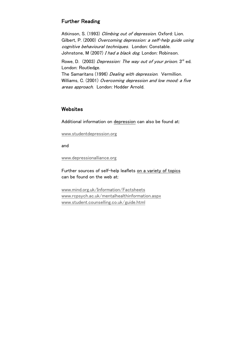### Further Reading

Atkinson, S. (1993) Climbing out of depression. Oxford: Lion. Gilbert, P. (2000) Overcoming depression: a self-help guide using cognitive behavioural techniques. London: Constable. Johnstone, M (2007) I had a black dog. London: Robinson.

Rowe, D. (2003) Depression: The way out of your prison.  $3^{rd}$  ed. London: Routledge.

The Samaritans (1996) *Dealing with depression*. Vermillion. Williams, C. (2001) Overcoming depression and low mood: a five areas approach. London: Hodder Arnold.

#### **Websites**

Additional information on depression can also be found at:

www.studentdepression.org

and

www.depressionalliance.org

Further sources of self-help leaflets on a variety of topics can be found on the web at:

www.mind.org.uk/Information/Factsheets www.rcpsych.ac.uk/mentalhealthinformation.aspx www.student.counselling.co.uk/guide.html